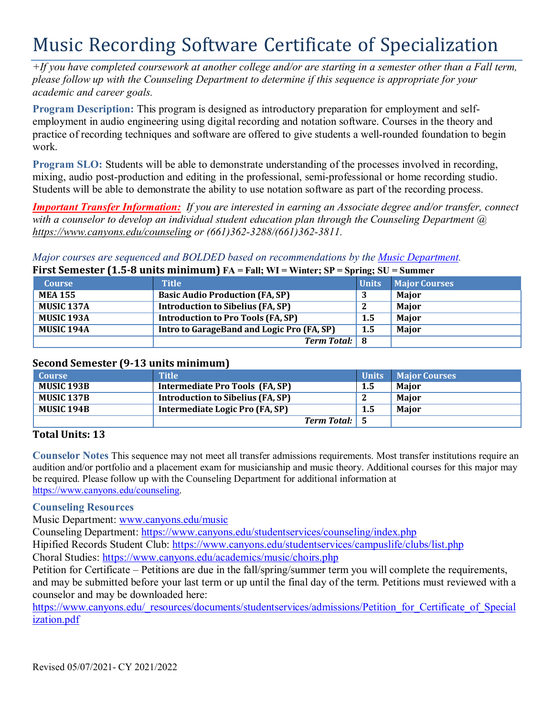# Music Recording Software Certificate of Specialization

*+If you have completed coursework at another college and/or are starting in a semester other than a Fall term, please follow up with the Counseling Department to determine if this sequence is appropriate for your academic and career goals.*

**Program Description:** This program is designed as introductory preparation for employment and selfemployment in audio engineering using digital recording and notation software. Courses in the theory and practice of recording techniques and software are offered to give students a well-rounded foundation to begin work.

**Program SLO:** Students will be able to demonstrate understanding of the processes involved in recording, mixing, audio post-production and editing in the professional, semi-professional or home recording studio. Students will be able to demonstrate the ability to use notation software as part of the recording process.

*Important Transfer Information: If you are interested in earning an Associate degree and/or transfer, connect with a counselor to develop an individual student education plan through the Counseling Department @ https:/[/www.canyons.edu/counseling](http://www.canyons.edu/counseling) or (661)362-3288/(661)362-3811.*

*Major courses are sequenced and BOLDED based on recommendations by the Music Department.*

## **First Semester (1.5-8 units minimum) FA = Fall; WI = Winter; SP = Spring; SU = Summer**

|                   |                                            | $\rightarrow$    |                      |
|-------------------|--------------------------------------------|------------------|----------------------|
| <b>Course</b>     | <b>Title</b>                               | <b>Units</b>     | <b>Major Courses</b> |
| <b>MEA 155</b>    | <b>Basic Audio Production (FA, SP)</b>     |                  | <b>Maior</b>         |
| <b>MUSIC 137A</b> | <b>Introduction to Sibelius (FA, SP)</b>   |                  | Maior                |
| <b>MUSIC 193A</b> | <b>Introduction to Pro Tools (FA, SP)</b>  | $1.5\phantom{0}$ | Major                |
| <b>MUSIC 194A</b> | Intro to GarageBand and Logic Pro (FA, SP) | $1.5\phantom{0}$ | <b>Major</b>         |
|                   | <b>Term Total:</b> 8                       |                  |                      |

### **Second Semester (9-13 units minimum)**

| <b>Course</b>     | <b>Title</b>                             | <b>Units</b> | <b>Major Courses</b> |
|-------------------|------------------------------------------|--------------|----------------------|
| <b>MUSIC 193B</b> | Intermediate Pro Tools (FA, SP)          | $1.5\,$      | <b>Maior</b>         |
| <b>MUSIC 137B</b> | <b>Introduction to Sibelius (FA, SP)</b> |              | <b>Maior</b>         |
| <b>MUSIC 194B</b> | Intermediate Logic Pro (FA, SP)          | $1.5\,$      | <b>Maior</b>         |
|                   | Term Total: 5                            |              |                      |

# **Total Units: 13**

**Counselor Notes** This sequence may not meet all transfer admissions requirements. Most transfer institutions require an audition and/or portfolio and a placement exam for musicianship and music theory. Additional courses for this major may be required. Please follow up with the Counseling Department for additional information at https:/[/www.canyons.edu/counseling.](http://www.canyons.edu/counseling)

#### **Counseling Resources**

Music Department: [www.canyons.edu/music](http://www.canyons.edu/music)

Counseling Department: https:/[/www.canyons.edu/studentservices/counseling/index.php](http://www.canyons.edu/studentservices/counseling/index.php)

Hipified Records Student Club: https:/[/www.canyons.edu/studentservices/campuslife/clubs/list.php](http://www.canyons.edu/studentservices/campuslife/clubs/list.php) Choral Studies: https:/[/www.canyons.edu/academics/music/choirs.php](http://www.canyons.edu/academics/music/choirs.php)

Petition for Certificate – Petitions are due in the fall/spring/summer term you will complete the requirements, and may be submitted before your last term or up until the final day of the term. Petitions must reviewed with a counselor and may be downloaded here:

https:/[/www.canyons.edu/\\_resources/documents/studentservices/admissions/Petition\\_for\\_Certificate\\_of\\_Special](http://www.canyons.edu/_resources/documents/studentservices/admissions/Petition_for_Certificate_of_Special) ization.pdf